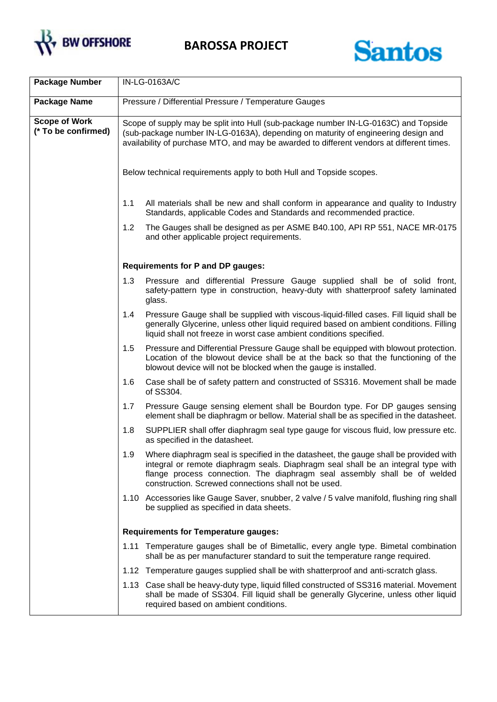

**BAROSSA PROJECT**



| <b>Package Number</b>                       | IN-LG-0163A/C                                                                                                                                                                                                                                                                                                         |  |  |
|---------------------------------------------|-----------------------------------------------------------------------------------------------------------------------------------------------------------------------------------------------------------------------------------------------------------------------------------------------------------------------|--|--|
| <b>Package Name</b>                         | Pressure / Differential Pressure / Temperature Gauges                                                                                                                                                                                                                                                                 |  |  |
| <b>Scope of Work</b><br>(* To be confirmed) | Scope of supply may be split into Hull (sub-package number IN-LG-0163C) and Topside<br>(sub-package number IN-LG-0163A), depending on maturity of engineering design and<br>availability of purchase MTO, and may be awarded to different vendors at different times.                                                 |  |  |
|                                             | Below technical requirements apply to both Hull and Topside scopes.                                                                                                                                                                                                                                                   |  |  |
|                                             | 1.1<br>All materials shall be new and shall conform in appearance and quality to Industry<br>Standards, applicable Codes and Standards and recommended practice.                                                                                                                                                      |  |  |
|                                             | 1.2<br>The Gauges shall be designed as per ASME B40.100, API RP 551, NACE MR-0175<br>and other applicable project requirements.                                                                                                                                                                                       |  |  |
|                                             | <b>Requirements for P and DP gauges:</b>                                                                                                                                                                                                                                                                              |  |  |
|                                             | 1.3<br>Pressure and differential Pressure Gauge supplied shall be of solid front,<br>safety-pattern type in construction, heavy-duty with shatterproof safety laminated<br>glass.                                                                                                                                     |  |  |
|                                             | Pressure Gauge shall be supplied with viscous-liquid-filled cases. Fill liquid shall be<br>1.4<br>generally Glycerine, unless other liquid required based on ambient conditions. Filling<br>liquid shall not freeze in worst case ambient conditions specified.                                                       |  |  |
|                                             | Pressure and Differential Pressure Gauge shall be equipped with blowout protection.<br>1.5<br>Location of the blowout device shall be at the back so that the functioning of the<br>blowout device will not be blocked when the gauge is installed.                                                                   |  |  |
|                                             | 1.6<br>Case shall be of safety pattern and constructed of SS316. Movement shall be made<br>of SS304.                                                                                                                                                                                                                  |  |  |
|                                             | Pressure Gauge sensing element shall be Bourdon type. For DP gauges sensing<br>1.7<br>element shall be diaphragm or bellow. Material shall be as specified in the datasheet.                                                                                                                                          |  |  |
|                                             | 1.8<br>SUPPLIER shall offer diaphragm seal type gauge for viscous fluid, low pressure etc.<br>as specified in the datasheet.                                                                                                                                                                                          |  |  |
|                                             | Where diaphragm seal is specified in the datasheet, the gauge shall be provided with<br>1.9<br>integral or remote diaphragm seals. Diaphragm seal shall be an integral type with<br>flange process connection. The diaphragm seal assembly shall be of welded<br>construction. Screwed connections shall not be used. |  |  |
|                                             | 1.10 Accessories like Gauge Saver, snubber, 2 valve / 5 valve manifold, flushing ring shall<br>be supplied as specified in data sheets.                                                                                                                                                                               |  |  |
|                                             | <b>Requirements for Temperature gauges:</b>                                                                                                                                                                                                                                                                           |  |  |
|                                             | 1.11 Temperature gauges shall be of Bimetallic, every angle type. Bimetal combination<br>shall be as per manufacturer standard to suit the temperature range required.                                                                                                                                                |  |  |
|                                             | 1.12 Temperature gauges supplied shall be with shatterproof and anti-scratch glass.                                                                                                                                                                                                                                   |  |  |
|                                             | 1.13 Case shall be heavy-duty type, liquid filled constructed of SS316 material. Movement<br>shall be made of SS304. Fill liquid shall be generally Glycerine, unless other liquid<br>required based on ambient conditions.                                                                                           |  |  |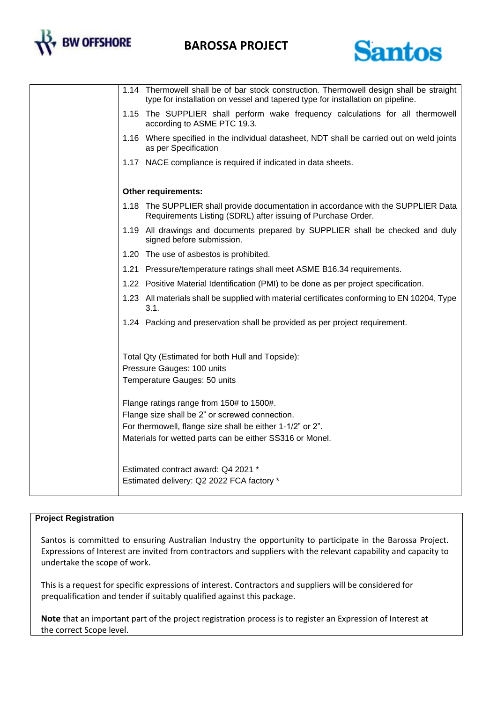

## **BAROSSA PROJECT**



|                                                                                                                                                                                                                     | 1.14 Thermowell shall be of bar stock construction. Thermowell design shall be straight<br>type for installation on vessel and tapered type for installation on pipeline. |
|---------------------------------------------------------------------------------------------------------------------------------------------------------------------------------------------------------------------|---------------------------------------------------------------------------------------------------------------------------------------------------------------------------|
|                                                                                                                                                                                                                     | 1.15 The SUPPLIER shall perform wake frequency calculations for all thermowell<br>according to ASME PTC 19.3.                                                             |
|                                                                                                                                                                                                                     | 1.16 Where specified in the individual datasheet, NDT shall be carried out on weld joints<br>as per Specification                                                         |
|                                                                                                                                                                                                                     | 1.17 NACE compliance is required if indicated in data sheets.                                                                                                             |
|                                                                                                                                                                                                                     | Other requirements:                                                                                                                                                       |
|                                                                                                                                                                                                                     | 1.18 The SUPPLIER shall provide documentation in accordance with the SUPPLIER Data<br>Requirements Listing (SDRL) after issuing of Purchase Order.                        |
|                                                                                                                                                                                                                     | 1.19 All drawings and documents prepared by SUPPLIER shall be checked and duly<br>signed before submission.                                                               |
|                                                                                                                                                                                                                     | 1.20 The use of asbestos is prohibited.                                                                                                                                   |
|                                                                                                                                                                                                                     | 1.21 Pressure/temperature ratings shall meet ASME B16.34 requirements.                                                                                                    |
|                                                                                                                                                                                                                     | 1.22 Positive Material Identification (PMI) to be done as per project specification.                                                                                      |
|                                                                                                                                                                                                                     | 1.23 All materials shall be supplied with material certificates conforming to EN 10204, Type<br>3.1.                                                                      |
|                                                                                                                                                                                                                     | 1.24 Packing and preservation shall be provided as per project requirement.                                                                                               |
|                                                                                                                                                                                                                     | Total Qty (Estimated for both Hull and Topside):<br>Pressure Gauges: 100 units<br>Temperature Gauges: 50 units                                                            |
| Flange ratings range from 150# to 1500#.<br>Flange size shall be 2" or screwed connection.<br>For thermowell, flange size shall be either 1-1/2" or 2".<br>Materials for wetted parts can be either SS316 or Monel. |                                                                                                                                                                           |
|                                                                                                                                                                                                                     | Estimated contract award: Q4 2021 *<br>Estimated delivery: Q2 2022 FCA factory *                                                                                          |

## **Project Registration**

Santos is committed to ensuring Australian Industry the opportunity to participate in the Barossa Project. Expressions of Interest are invited from contractors and suppliers with the relevant capability and capacity to undertake the scope of work.

This is a request for specific expressions of interest. Contractors and suppliers will be considered for prequalification and tender if suitably qualified against this package.

**Note** that an important part of the project registration process is to register an Expression of Interest at the correct Scope level.